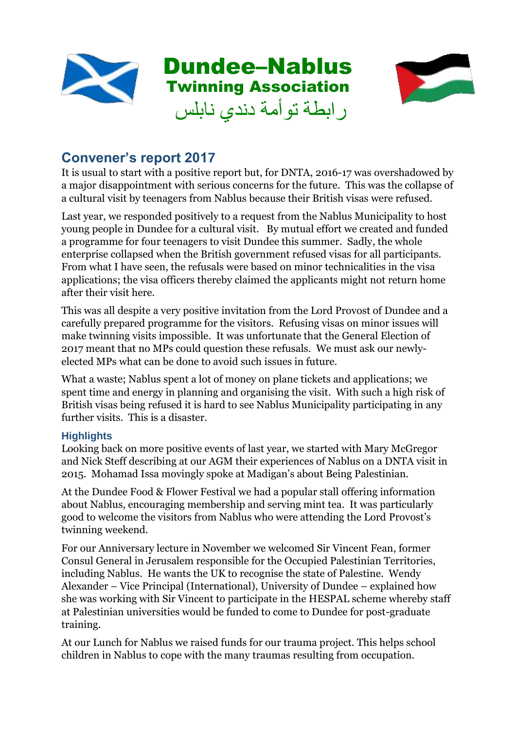



# **Convener's report 2017**

It is usual to start with a positive report but, for DNTA, 2016-17 was overshadowed by a major disappointment with serious concerns for the future. This was the collapse of a cultural visit by teenagers from Nablus because their British visas were refused.

Last year, we responded positively to a request from the Nablus Municipality to host young people in Dundee for a cultural visit. By mutual effort we created and funded a programme for four teenagers to visit Dundee this summer. Sadly, the whole enterprise collapsed when the British government refused visas for all participants. From what I have seen, the refusals were based on minor technicalities in the visa applications; the visa officers thereby claimed the applicants might not return home after their visit here.

This was all despite a very positive invitation from the Lord Provost of Dundee and a carefully prepared programme for the visitors. Refusing visas on minor issues will make twinning visits impossible. It was unfortunate that the General Election of 2017 meant that no MPs could question these refusals. We must ask our newlyelected MPs what can be done to avoid such issues in future.

What a waste; Nablus spent a lot of money on plane tickets and applications; we spent time and energy in planning and organising the visit. With such a high risk of British visas being refused it is hard to see Nablus Municipality participating in any further visits. This is a disaster.

## **Highlights**

Looking back on more positive events of last year, we started with Mary McGregor and Nick Steff describing at our AGM their experiences of Nablus on a DNTA visit in 2015. Mohamad Issa movingly spoke at Madigan's about Being Palestinian.

At the Dundee Food & Flower Festival we had a popular stall offering information about Nablus, encouraging membership and serving mint tea. It was particularly good to welcome the visitors from Nablus who were attending the Lord Provost's twinning weekend.

For our Anniversary lecture in November we welcomed Sir Vincent Fean, former Consul General in Jerusalem responsible for the Occupied Palestinian Territories, including Nablus. He wants the UK to recognise the state of Palestine. Wendy Alexander – Vice Principal (International), University of Dundee – explained how she was working with Sir Vincent to participate in the HESPAL scheme whereby staff at Palestinian universities would be funded to come to Dundee for post-graduate training.

At our Lunch for Nablus we raised funds for our trauma project. This helps school children in Nablus to cope with the many traumas resulting from occupation.